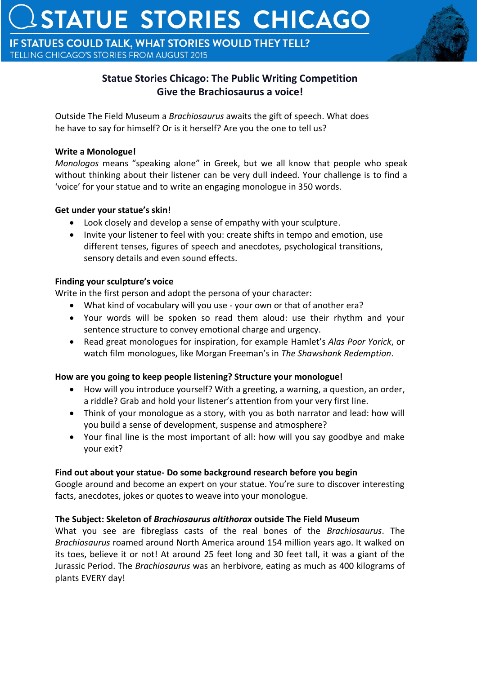IF STATUES COULD TALK, WHAT STORIES WOULD THEY TELL? TELLING CHICAGO'S STORIES FROM AUGUST 2015



# **Statue Stories Chicago: The Public Writing Competition Give the Brachiosaurus a voice!**

Outside The Field Museum a *Brachiosaurus* awaits the gift of speech. What does he have to say for himself? Or is it herself? Are you the one to tell us?

### **Write a Monologue!**

*Monologos* means "speaking alone" in Greek, but we all know that people who speak without thinking about their listener can be very dull indeed. Your challenge is to find a 'voice' for your statue and to write an engaging monologue in 350 words.

## **Get under your statue's skin!**

- Look closely and develop a sense of empathy with your sculpture.
- Invite your listener to feel with you: create shifts in tempo and emotion, use different tenses, figures of speech and anecdotes, psychological transitions, sensory details and even sound effects.

## **Finding your sculpture's voice**

Write in the first person and adopt the persona of your character:

- What kind of vocabulary will you use your own or that of another era?
- Your words will be spoken so read them aloud: use their rhythm and your sentence structure to convey emotional charge and urgency.
- Read great monologues for inspiration, for example Hamlet's *Alas Poor Yorick*, or watch film monologues, like Morgan Freeman's in *The Shawshank Redemption*.

# **How are you going to keep people listening? Structure your monologue!**

- How will you introduce yourself? With a greeting, a warning, a question, an order, a riddle? Grab and hold your listener's attention from your very first line.
- Think of your monologue as a story, with you as both narrator and lead: how will you build a sense of development, suspense and atmosphere?
- Your final line is the most important of all: how will you say goodbye and make your exit?

# **Find out about your statue- Do some background research before you begin**

Google around and become an expert on your statue. You're sure to discover interesting facts, anecdotes, jokes or quotes to weave into your monologue.

# **The Subject: Skeleton of** *Brachiosaurus altithorax* **outside The Field Museum**

What you see are fibreglass casts of the real bones of the *Brachiosaurus*. The *Brachiosaurus* roamed around North America around 154 million years ago. It walked on its toes, believe it or not! At around 25 feet long and 30 feet tall, it was a giant of the Jurassic Period. The *Brachiosaurus* was an herbivore, eating as much as 400 kilograms of plants EVERY day!